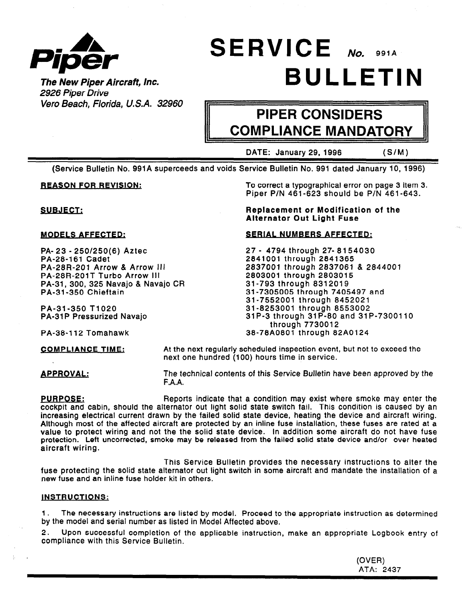

# SERVICE NO. 991A  $\rho_{\textit{I} \textit{poer}}$ <br>The New Piper Aircraft, Inc.  $\qquad \qquad \qquad \qquad \text{BULLETIME}$

2926 Piper Drive Vero Beach, Florida, U.S.A. 32960

## PIPER CONSIDERS COMPLIANCE MANDATORY

DATE: January 29, 1996 (S/M)

(Service Bulletin No. 991 A superceeds and voids Service Bulletin No. 991 dated January 10, 1996)

**REASON FOR REVISION:** To correct a typographical error on page 3 item 3. Piper P/N 461-623 should be P/N 461-643.

**SUBJECT:** Replacement or Modification of the Alternator Out Light Fuse

#### MODELS AFFECTED: SERIAL NUMBERS AFFECTED:

27 - 4794 through 27- 8154030 2841001 through 2841365 2837001 through 2837061 & 2844001 2803001 through 2803015 31-793 through 8312019 31-7305005 through 7405497 and 31-7552001 through 8452021 31-8253001 through 8553002 31 P-3 through 31 P-80 and 31 P-7300110 through 7730012 PA-38-112 Tomahawk 38-78A0801 through 82A0124

PA- 23 - 250/250(6) Aztec PA-28-161 Cadet PA-28R-201 Arrow & Arrow III PA-28R-201T Turbo Arrow III PA-31, 300, 325 Navajo & Navajo CR PA-31 -350 Chieftain

PA-31 -350 T1020 PA-31P Pressurized Navajo

COMPLIANCE TIME: At the next regularly scheduled inspection event, but not to exceed the next one hundred (100) hours time in service.

APPROVAL: The technical contents of this Service Bulletin have been approved by the F.A.A.

**PURPOSE:** Reports indicate that a condition may exist where smoke may enter the cockpit and cabin, should the alternator out light solid state switch fail. This condition is caused by an increasing electrical current drawn by the failed solid state device, heating the device and aircraft wiring. Although most of the affected aircraft are protected by an inline fuse installation, these fuses are rated at a value to protect wiring and not the the solid state device. In addition some aircraft do not have fuse protection. Left uncorrected, smoke may be released from the failed solid state device and/or over heated aircraft wiring.

This Service Bulletin provides the necessary instructions to alter the fuse protecting the solid state alternator out light switch in some aircraft and mandate the installation of a new fuse and an inline fuse holder kit in others.

#### INSTRUCTIONS:

1. The necessary instructions are listed by model. Proceed to the appropriate instruction as determined by the model and serial number as listed in Model Affected above.

2. Upon successful completion of the applicable instruction, make an appropriate Logbook entry of compliance with this Service Bulletin.

> (OVER) ATA: 2437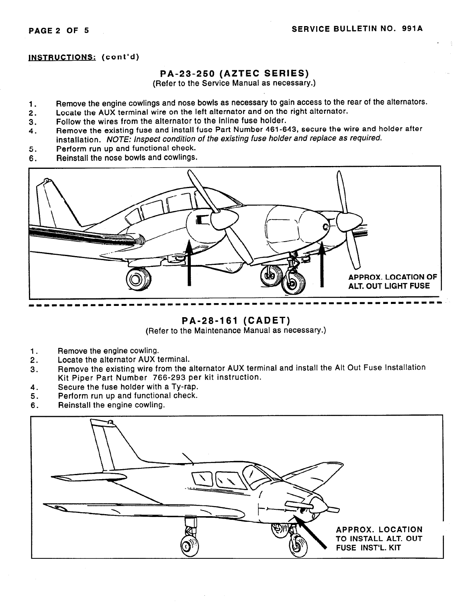#### INSTRUCTIONS: (cont'd)

#### PA-23-250 (AZTEC SERIES)

(Refer to the Service Manual as necessary.)

- 1. Remove the engine cowlings and nose bowls as necessary to gain access to the rear of the alternators.
- 2. Locate the AUX terminal wire on the left alternator and on the right alternator.
- 3. Follow the wires from the alternator to the inline fuse holder.
- 4. Remove the existing fuse and install fuse Part Number 461-643, secure the wire and holder after installation. NOTE: Inspect condition of the existing fuse holder and replace as required.
- 5. Perform run up and functional check.
- 6. Reinstall the nose bowls and cowlings.



PA-28-161 (CADET)

(Refer to the Maintenance Manual as necessary.)

- 1. Remove the engine cowling.
- 2. Locate the alternator AUX terminal.
- 3. Remove the existing wire from the alternator AUX terminal and install the Alt Out Fuse Installation Kit Piper Part Number 766-293 per kit instruction.
- 4. Secure the fuse holder with a Ty-rap.
- 5. Perform run up and functional check.
- 6. Reinstall the engine cowling.

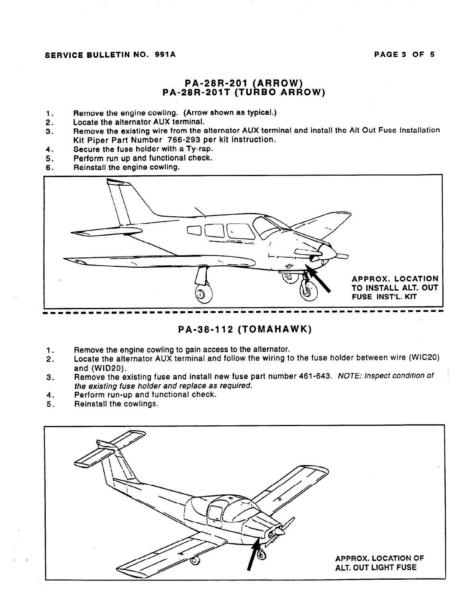#### SERVICE BULLETIN NO. 991A PAGE 3 OF 5

#### PA-28R-201 (ARROW) PA-28R-201T (TURBO ARROW)

- 1. Remove the engine cowling. (Arrow shown as typical.)
- 2. Locate the alternator AUX terminal.
- 3. Remove the existing wire from the alternator AUX terminal and install the Alt Out Fuse Installation Kit Piper Part Number 766-293 per kit instruction.
- 4. Secure the fuse holder with a Ty-rap.
- 5. Perform run up and functional check.<br>6. Reinstall the engine cowling.
- Reinstall the engine cowling.



#### PA-38-112 (TOMAHAWK)

- 1. Remove the engine cowling to gain access to the alternator.
- 2. Locate the alternator AUX terminal and follow the wiring to the fuse holder between wire (WIC20) and (WID20).
- 3. Remove the existing fuse and install new fuse part number 461-643. NOTE: Inspect condition of the existing fuse holder and replace as required.
- 4. Perform run-up and functional check.
- 5. Reinstall the cowlings.

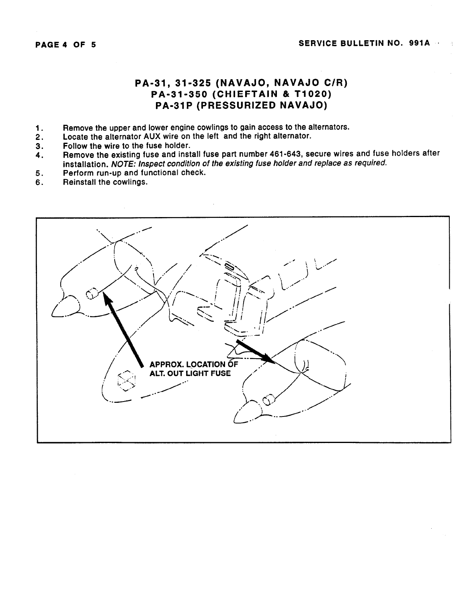### PA-31, 31-325 (NAVAJO, NAVAJO C/R) PA-31-350 (CHIEFTAIN & T1020) PA-31P (PRESSURIZED NAVAJO)

- 1. Remove the upper and lower engine cowlings to gain access to the alternators.
- 2. Locate the alternator AUX wire on the left and the right alternator.
- 3. Follow the wire to the fuse holder.
- 4. Remove the existing fuse and install fuse part number 461-643, secure wires and fuse holders after installation. NOTE: Inspect condition of the existing fuse holder and replace as required.
- 5. Perform run-up and functional check.
- 6. Reinstall the cowlings.